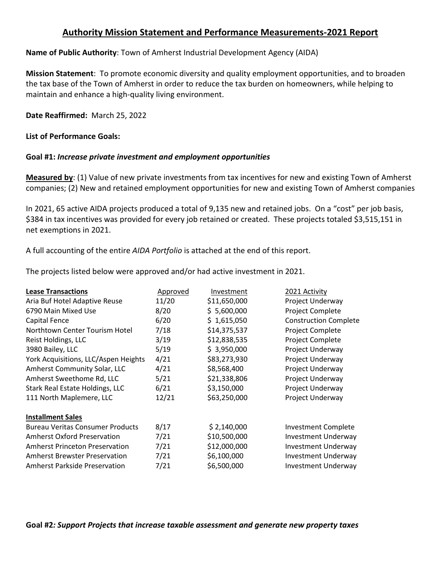# **Authority Mission Statement and Performance Measurements-2021 Report**

### **Name of Public Authority**: Town of Amherst Industrial Development Agency (AIDA)

**Mission Statement**: To promote economic diversity and quality employment opportunities, and to broaden the tax base of the Town of Amherst in order to reduce the tax burden on homeowners, while helping to maintain and enhance a high-quality living environment.

#### **Date Reaffirmed:** March 25, 2022

#### **List of Performance Goals:**

#### **Goal #1:** *Increase private investment and employment opportunities*

**Measured by**: (1) Value of new private investments from tax incentives for new and existing Town of Amherst companies; (2) New and retained employment opportunities for new and existing Town of Amherst companies

In 2021, 65 active AIDA projects produced a total of 9,135 new and retained jobs. On a "cost" per job basis, \$384 in tax incentives was provided for every job retained or created. These projects totaled \$3,515,151 in net exemptions in 2021.

A full accounting of the entire *AIDA Portfolio* is attached at the end of this report.

The projects listed below were approved and/or had active investment in 2021.

| <b>Lease Transactions</b>               | Approved | Investment   | 2021 Activity                |
|-----------------------------------------|----------|--------------|------------------------------|
| Aria Buf Hotel Adaptive Reuse           | 11/20    | \$11,650,000 | Project Underway             |
| 6790 Main Mixed Use                     | 8/20     | \$5,600,000  | Project Complete             |
| Capital Fence                           | 6/20     | \$1,615,050  | <b>Construction Complete</b> |
| Northtown Center Tourism Hotel          | 7/18     | \$14,375,537 | Project Complete             |
| Reist Holdings, LLC                     | 3/19     | \$12,838,535 | Project Complete             |
| 3980 Bailey, LLC                        | 5/19     | \$3,950,000  | Project Underway             |
| York Acquisitions, LLC/Aspen Heights    | 4/21     | \$83,273,930 | Project Underway             |
| Amherst Community Solar, LLC            | 4/21     | \$8,568,400  | Project Underway             |
| Amherst Sweethome Rd, LLC               | 5/21     | \$21,338,806 | Project Underway             |
| Stark Real Estate Holdings, LLC         | 6/21     | \$3,150,000  | Project Underway             |
| 111 North Maplemere, LLC                | 12/21    | \$63,250,000 | Project Underway             |
| <b>Installment Sales</b>                |          |              |                              |
| <b>Bureau Veritas Consumer Products</b> | 8/17     | \$2,140,000  | <b>Investment Complete</b>   |
| <b>Amherst Oxford Preservation</b>      | 7/21     | \$10,500,000 | <b>Investment Underway</b>   |
| <b>Amherst Princeton Preservation</b>   | 7/21     | \$12,000,000 | <b>Investment Underway</b>   |
| <b>Amherst Brewster Preservation</b>    | 7/21     | \$6,100,000  | <b>Investment Underway</b>   |
| <b>Amherst Parkside Preservation</b>    | 7/21     | \$6,500,000  | <b>Investment Underway</b>   |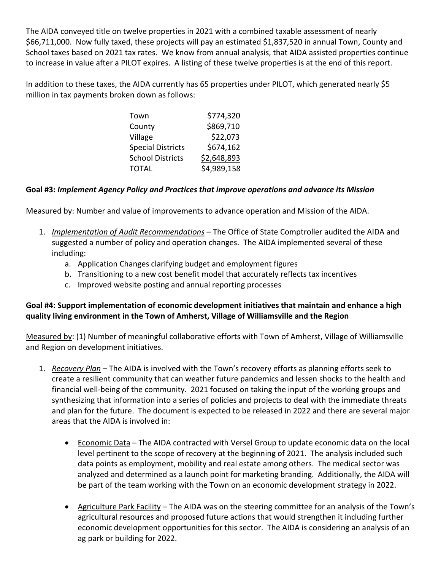The AIDA conveyed title on twelve properties in 2021 with a combined taxable assessment of nearly \$66,711,000. Now fully taxed, these projects will pay an estimated \$1,837,520 in annual Town, County and School taxes based on 2021 tax rates. We know from annual analysis, that AIDA assisted properties continue to increase in value after a PILOT expires. A listing of these twelve properties is at the end of this report.

In addition to these taxes, the AIDA currently has 65 properties under PILOT, which generated nearly \$5 million in tax payments broken down as follows:

| \$774,320   |
|-------------|
| \$869,710   |
| \$22,073    |
| \$674,162   |
| \$2,648,893 |
| \$4,989,158 |
|             |

### **Goal #3:** *Implement Agency Policy and Practices that improve operations and advance its Mission*

Measured by: Number and value of improvements to advance operation and Mission of the AIDA.

- 1. *Implementation of Audit Recommendations* The Office of State Comptroller audited the AIDA and suggested a number of policy and operation changes. The AIDA implemented several of these including:
	- a. Application Changes clarifying budget and employment figures
	- b. Transitioning to a new cost benefit model that accurately reflects tax incentives
	- c. Improved website posting and annual reporting processes

## **Goal #4: Support implementation of economic development initiatives that maintain and enhance a high quality living environment in the Town of Amherst, Village of Williamsville and the Region**

Measured by: (1) Number of meaningful collaborative efforts with Town of Amherst, Village of Williamsville and Region on development initiatives.

- 1. *Recovery Plan* The AIDA is involved with the Town's recovery efforts as planning efforts seek to create a resilient community that can weather future pandemics and lessen shocks to the health and financial well-being of the community. 2021 focused on taking the input of the working groups and synthesizing that information into a series of policies and projects to deal with the immediate threats and plan for the future. The document is expected to be released in 2022 and there are several major areas that the AIDA is involved in:
	- Economic Data The AIDA contracted with Versel Group to update economic data on the local level pertinent to the scope of recovery at the beginning of 2021. The analysis included such data points as employment, mobility and real estate among others. The medical sector was analyzed and determined as a launch point for marketing branding. Additionally, the AIDA will be part of the team working with the Town on an economic development strategy in 2022.
	- Agriculture Park Facility The AIDA was on the steering committee for an analysis of the Town's agricultural resources and proposed future actions that would strengthen it including further economic development opportunities for this sector. The AIDA is considering an analysis of an ag park or building for 2022.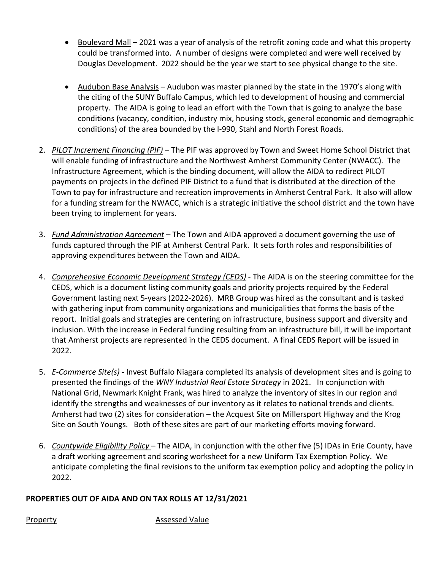- Boulevard Mall 2021 was a year of analysis of the retrofit zoning code and what this property could be transformed into. A number of designs were completed and were well received by Douglas Development. 2022 should be the year we start to see physical change to the site.
- Audubon Base Analysis Audubon was master planned by the state in the 1970's along with the citing of the SUNY Buffalo Campus, which led to development of housing and commercial property. The AIDA is going to lead an effort with the Town that is going to analyze the base conditions (vacancy, condition, industry mix, housing stock, general economic and demographic conditions) of the area bounded by the I-990, Stahl and North Forest Roads.
- 2. *PILOT Increment Financing (PIF)* The PIF was approved by Town and Sweet Home School District that will enable funding of infrastructure and the Northwest Amherst Community Center (NWACC). The Infrastructure Agreement, which is the binding document, will allow the AIDA to redirect PILOT payments on projects in the defined PIF District to a fund that is distributed at the direction of the Town to pay for infrastructure and recreation improvements in Amherst Central Park. It also will allow for a funding stream for the NWACC, which is a strategic initiative the school district and the town have been trying to implement for years.
- 3. *Fund Administration Agreement* The Town and AIDA approved a document governing the use of funds captured through the PIF at Amherst Central Park. It sets forth roles and responsibilities of approving expenditures between the Town and AIDA.
- 4. *Comprehensive Economic Development Strategy (CEDS)* The AIDA is on the steering committee for the CEDS, which is a document listing community goals and priority projects required by the Federal Government lasting next 5-years (2022-2026). MRB Group was hired as the consultant and is tasked with gathering input from community organizations and municipalities that forms the basis of the report. Initial goals and strategies are centering on infrastructure, business support and diversity and inclusion. With the increase in Federal funding resulting from an infrastructure bill, it will be important that Amherst projects are represented in the CEDS document. A final CEDS Report will be issued in 2022.
- 5. *E-Commerce Site(s)* Invest Buffalo Niagara completed its analysis of development sites and is going to presented the findings of the *WNY Industrial Real Estate Strategy* in 2021. In conjunction with National Grid, Newmark Knight Frank, was hired to analyze the inventory of sites in our region and identify the strengths and weaknesses of our inventory as it relates to national trends and clients. Amherst had two (2) sites for consideration – the Acquest Site on Millersport Highway and the Krog Site on South Youngs. Both of these sites are part of our marketing efforts moving forward.
- 6. *Countywide Eligibility Policy* The AIDA, in conjunction with the other five (5) IDAs in Erie County, have a draft working agreement and scoring worksheet for a new Uniform Tax Exemption Policy. We anticipate completing the final revisions to the uniform tax exemption policy and adopting the policy in 2022.

## **PROPERTIES OUT OF AIDA AND ON TAX ROLLS AT 12/31/2021**

Property **Assessed Value**